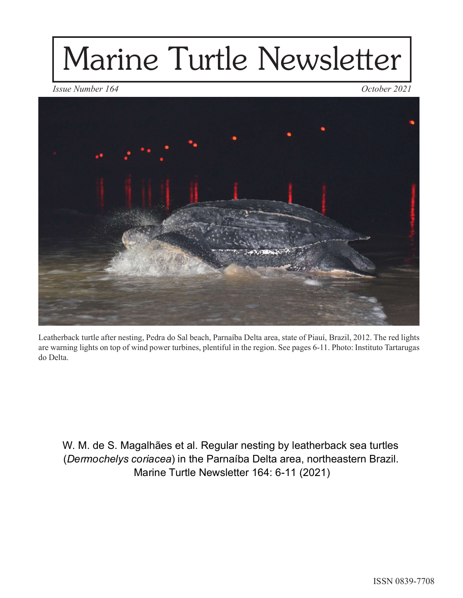## Marine Turtle Newsletter



Leatherback turtle after nesting, Pedra do Sal beach, Parnaíba Delta area, state of Piauí, Brazil, 2012. The red lights are warning lights on top of wind power turbines, plentiful in the region. See pages 6-11. Photo: Instituto Tartarugas do Delta.

W. M. de S. Magalhães et al. Regular nesting by leatherback sea turtles (Dermochelys coriacea) in the Parnaíba Delta area, northeastern Brazil. Marine Turtle Newsletter 164: 6-11 (2021)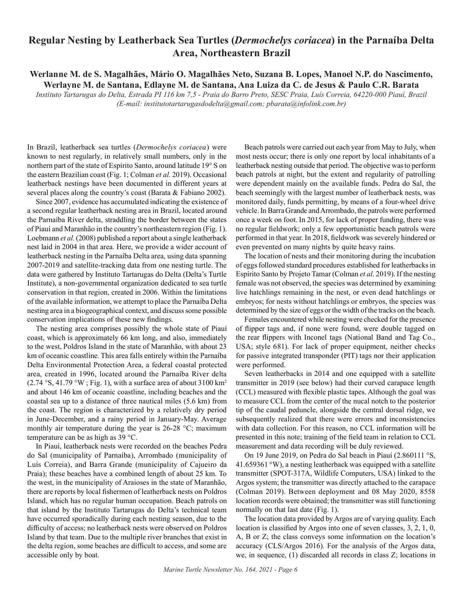## Regular Nesting by Leatherback Sea Turtles (Dermochelys coriacea) in the Parnaíba Delta Area, Northeastern Brazil

## Werlanne M. de S. Magalhães, Mário O. Magalhães Neto, Suzana B. Lopes, Manoel N.P. do Nascimento, Werlayne M. de Santana, Edlayne M. de Santana, Ana Luiza da C. de Jesus & Paulo C.R. Barata

Instituto Tartarugas do Delta, Estrada PI 116 km 7,5 - Praia do Barro Preto, SESC Praia, Luís Correia, 64220-000 Piauí, Brazil

(E-mail: institutotartarugasdodelta@gmail.com; pbarata@infolink.com.br)

In Brazil, leatherback sea turtles (Dermochelys coriacea) were known to nest regularly, in relatively small numbers, only in the northern part of the state of Espírito Santo, around latitude 19° S on the eastern Brazilian coast (Fig. 1; Colman et al. 2019). Occasional leatherback nestings have been documented in different years at several places along the country's coast (Barata & Fabiano 2002).

Since 2007, evidence has accumulated indicating the existence of a second regular leatherback nesting area in Brazil, located around the Parnaíba River delta, straddling the border between the states of Piauí and Maranhão in the country's northeastern region (Fig. 1). Loebmann et al. (2008) published a report about a single leatherback nest laid in 2004 in that area. Here, we provide a wider account of leatherback nesting in the Parnaíba Delta area, using data spanning 2007-2019 and satellite-tracking data from one nesting turtle. The data were gathered by Instituto Tartarugas do Delta (Delta's Turtle Institute), a non-governmental organization dedicated to sea turtle conservation in that region, created in 2006. Within the limitations of the available information, we attempt to place the Parnaíba Delta nesting area in a biogeographical context, and discuss some possible conservation implications of these new findings.

coast, which is approximately 66 km long, and also, immediately to the west, Poldros Island in the state of Maranhão, with about 23 km of oceanic coastline. This area falls entirely within the Parnaíba Delta Environmental Protection Area, a federal coastal protected area, created in 1996, located around the Parnaíba River delta  $(2.74 \text{ °S}, 41.79 \text{ °W}; \text{Fig. 1}),$  with a surface area of about 3100 km<sup>2</sup> and about 146 km of oceanic coastline, including beaches and the coastal sea up to a distance of three nautical miles (5.6 km) from the coast. The region is characterized by a relatively dry period in June-December, and a rainy period in January-May. Average monthly air temperature during the year is 26-28 °C; maximum temperature can be as high as 39 °C.

In Piauí, leatherback nests were recorded on the beaches Pedra do Sal (municipality of Parnaíba), Arrombado (municipality of Luís Correia), and Barra Grande (municipality of Cajueiro da Praia); these beaches have a combined length of about 25 km. To the west, in the municipality of Araioses in the state of Maranhão, there are reports by local fishermen of leatherback nests on Poldros Island, which has no regular human occupation. Beach patrols on that island by the Instituto Tartarugas do Delta's technical team have occurred sporadically during each nesting season, due to the difficulty of access; no leatherback nests were observed on Poldros Island by that team. Due to the multiple river branches that exist in the delta region, some beaches are difficult to access, and some are accessible only by boat.

Beach patrols were carried out each year from May to July, when most nests occur; there is only one report by local inhabitants of a leatherback nesting outside that period. The objective was to perform beach patrols at night, but the extent and regularity of patrolling were dependent mainly on the available funds. Pedra do Sal, the beach seemingly with the largest number of leatherback nests, was monitored daily, funds permitting, by means of a four-wheel drive vehicle. In Barra Grande and Arrombado, the patrols were performed once a week on foot. In 2015, for lack of proper funding, there was no regular fieldwork; only a few opportunistic beach patrols were performed in that year. In 2018, fieldwork was severely hindered or even prevented on many nights by quite heavy rains. Beach patrols were carried out each year from May to July, when<br>most nests occur; there is only one report by local inhabitants of a<br>leatherback nestigo outside that period. The objective was to perform<br>beach patrols at n

The location of nests and their monitoring during the incubation of eggs followed standard procedures established for leatherbacks in Espírito Santo by Projeto Tamar (Colman et al. 2019). If the nesting female was not observed, the species was determined by examining live hatchlings remaining in the nest, or even dead hatchlings or embryos; for nests without hatchlings or embryos, the species was determined by the size of eggs or the width of the tracks on the beach.

The nesting area comprises possibly the whole state of Piauí of flipper tags and, if none were found, were double tagged on Females encountered while nesting were checked for the presence the rear flippers with Inconel tags (National Band and Tag Co., USA; style 681). For lack of proper equipment, neither checks for passive integrated transponder (PIT) tags nor their application were performed.

> Seven leatherbacks in 2014 and one equipped with a satellite transmitter in 2019 (see below) had their curved carapace length (CCL) measured with flexible plastic tapes. Although the goal was to measure CCL from the center of the nucal notch to the posterior tip of the caudal peduncle, alongside the central dorsal ridge, we subsequently realized that there were errors and inconsistencies with data collection. For this reason, no CCL information will be presented in this note; training of the field team in relation to CCL measurement and data recording will be duly reviewed.

> On 19 June 2019, on Pedra do Sal beach in Piauí (2.860111 °S, 41.659361 °W), a nesting leatherback was equipped with a satellite transmitter (SPOT-317A, Wildlife Computers, USA) linked to the Argos system; the transmitter was directly attached to the carapace (Colman 2019). Between deployment and 08 May 2020, 8558 location records were obtained; the transmitter was still functioning normally on that last date (Fig. 1).

> The location data provided by Argos are of varying quality. Each location is classified by Argos into one of seven classes,  $3, 2, 1, 0$ , A, B or Z; the class conveys some information on the location's accuracy (CLS/Argos 2016). For the analysis of the Argos data, we, in sequence, (1) discarded all records in class Z; locations in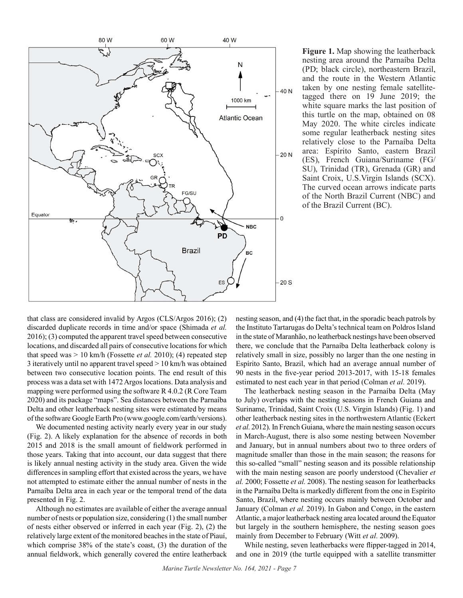

Figure 1. Map showing the leatherback nesting area around the Parnaíba Delta (PD; black circle), northeastern Brazil, and the route in the Western Atlantic taken by one nesting female satellitetagged there on 19 June 2019; the white square marks the last position of this turtle on the map, obtained on 08 May 2020. The white circles indicate some regular leatherback nesting sites relatively close to the Parnaíba Delta area: Espírito Santo, eastern Brazil (ES), French Guiana/Suriname (FG/ SU), Trinidad (TR), Grenada (GR) and Saint Croix, U.S.Virgin Islands (SCX). The curved ocean arrows indicate parts of the North Brazil Current (NBC) and of the Brazil Current (BC).

that class are considered invalid by Argos (CLS/Argos 2016); (2) discarded duplicate records in time and/or space (Shimada et al. 2016); (3) computed the apparent travel speed between consecutive locations, and discarded all pairs of consecutive locations for which that speed was  $> 10$  km/h (Fossette *et al.* 2010); (4) repeated step 3 iteratively until no apparent travel speed > 10 km/h was obtained between two consecutive location points. The end result of this 90 nests in the five-year period 2013-2017, with 15-18 females process was a data set with 1472 Argos locations. Data analysis and mapping were performed using the software R 4.0.2 (R Core Team 2020) and its package "maps". Sea distances between the Parnaíba Delta and other leatherback nesting sites were estimated by means of the software Google Earth Pro (www.google.com/earth/versions). **Example 1988**<br>
2018 and that class are considered invalid by Argos (CLS/Argos 2016); (2) nesting season, and (4) the fact that, in the sporadic beached duplicate records in time and  $\epsilon$  can be small and  $\epsilon$  and  $\epsilon$ . T

We documented nesting activity nearly every year in our study (Fig. 2). A likely explanation for the absence of records in both those years. Taking that into account, our data suggest that there is likely annual nesting activity in the study area. Given the wide differences in sampling effort that existed across the years, we have not attempted to estimate either the annual number of nests in the Parnaíba Delta area in each year or the temporal trend of the data presented in Fig. 2.

Although no estimates are available of either the average annual number of nests or population size, considering (1) the small number of nests either observed or inferred in each year (Fig. 2), (2) the relatively large extent of the monitored beaches in the state of Piauí, which comprise 38% of the state's coast, (3) the duration of the annual fieldwork, which generally covered the entire leatherback nesting season, and (4) the fact that, in the sporadic beach patrols by the Instituto Tartarugas do Delta's technical team on Poldros Island in the state of Maranhão, no leatherback nestings have been observed there, we conclude that the Parnaíba Delta leatherback colony is relatively small in size, possibly no larger than the one nesting in Espírito Santo, Brazil, which had an average annual number of Fractive of the North Brazil Current (NBC) and<br>
of the North Brazil Current (NBC) and<br>
of the Brazil Current (RC).<br>
NBC<br>
Pack and (4) the fact that, in the sporadic beach patrols by<br>
the Instituto Tartarugas do Delta's tec estimated to nest each year in that period (Colman et al. 2019).

The leatherback nesting season in the Parnaíba Delta (May to July) overlaps with the nesting seasons in French Guiana and Suriname, Trinidad, Saint Croix (U.S. Virgin Islands) (Fig. 1) and other leatherback nesting sites in the northwestern Atlantic (Eckert et al. 2012). In French Guiana, where the main nesting season occurs in March-August, there is also some nesting between November and January, but in annual numbers about two to three orders of magnitude smaller than those in the main season; the reasons for this so-called "small" nesting season and its possible relationship with the main nesting season are poorly understood (Chevalier et al. 2000; Fossette et al. 2008). The nesting season for leatherbacks in the Parnaíba Delta is markedly different from the one in Espírito Santo, Brazil, where nesting occurs mainly between October and January (Colman et al. 2019). In Gabon and Congo, in the eastern Atlantic, a major leatherback nesting area located around the Equator but largely in the southern hemisphere, the nesting season goes mainly from December to February (Witt et al. 2009).

While nesting, seven leatherbacks were flipper-tagged in 2014, and one in 2019 (the turtle equipped with a satellite transmitter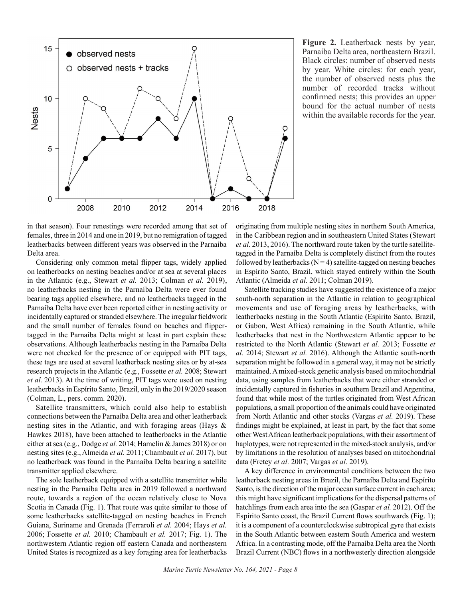

Figure 2. Leatherback nests by year, Parnaíba Delta area, northeastern Brazil. Black circles: number of observed nests by year. White circles: for each year, the number of observed nests plus the number of recorded tracks without confirmed nests; this provides an upper bound for the actual number of nests within the available records for the year.

in that season). Four renestings were recorded among that set of females, three in 2014 and one in 2019, but no remigration of tagged leatherbacks between different years was observed in the Parnaíba Delta area.

on leatherbacks on nesting beaches and/or at sea at several places in the Atlantic (e.g., Stewart et al. 2013; Colman et al. 2019), no leatherbacks nesting in the Parnaíba Delta were ever found bearing tags applied elsewhere, and no leatherbacks tagged in the Parnaíba Delta have ever been reported either in nesting activity or incidentally captured or stranded elsewhere. The irregular fieldwork **19**<br> **and the small number of females for the small number of females for the small number of females for the small number of females for the small number of females for the small number of the small number of the small** tagged in the Parnaíba Delta might at least in part explain these observations. Although leatherbacks nesting in the Parnaíba Delta were not checked for the presence of or equipped with PIT tags, these tags are used at several leatherback nesting sites or by at-sea research projects in the Atlantic (e.g., Fossette et al. 2008; Stewart et al. 2013). At the time of writing, PIT tags were used on nesting leatherbacks in Espírito Santo, Brazil, only in the 2019/2020 season (Colman, L., pers. comm. 2020).

Satellite transmitters, which could also help to establish connections between the Parnaíba Delta area and other leatherback nesting sites in the Atlantic, and with foraging areas (Hays & Hawkes 2018), have been attached to leatherbacks in the Atlantic either at sea (e.g., Dodge et al. 2014; Hamelin & James 2018) or on nesting sites (e.g., Almeida et al. 2011; Chambault et al. 2017), but no leatherback was found in the Parnaíba Delta bearing a satellite transmitter applied elsewhere.

The sole leatherback equipped with a satellite transmitter while nesting in the Parnaíba Delta area in 2019 followed a northward route, towards a region of the ocean relatively close to Nova Scotia in Canada (Fig. 1). That route was quite similar to those of some leatherbacks satellite-tagged on nesting beaches in French Guiana, Suriname and Grenada (Ferraroli et al. 2004; Hays et al. 2006; Fossette et al. 2010; Chambault et al. 2017; Fig. 1). The northwestern Atlantic region off eastern Canada and northeastern United States is recognized as a key foraging area for leatherbacks originating from multiple nesting sites in northern South America, in the Caribbean region and in southeastern United States (Stewart et al. 2013, 2016). The northward route taken by the turtle satellitetagged in the Parnaíba Delta is completely distinct from the routes followed by leatherbacks ( $N = 4$ ) satellite-tagged on nesting beaches in Espírito Santo, Brazil, which stayed entirely within the South Atlantic (Almeida et al. 2011; Colman 2019).

Satellite tracking studies have suggested the existence of a major south-north separation in the Atlantic in relation to geographical movements and use of foraging areas by leatherbacks, with leatherbacks nesting in the South Atlantic (Espírito Santo, Brazil, or Gabon, West Africa) remaining in the South Atlantic, while leatherbacks that nest in the Northwestern Atlantic appear to be restricted to the North Atlantic (Stewart et al. 2013; Fossette et al. 2014; Stewart et al. 2016). Although the Atlantic south-north separation might be followed in a general way, it may not be strictly maintained. A mixed-stock genetic analysis based on mitochondrial data, using samples from leatherbacks that were either stranded or incidentally captured in fisheries in southern Brazil and Argentina, found that while most of the turtles originated from West African populations, a small proportion of the animals could have originated from North Atlantic and other stocks (Vargas et al. 2019). These findings might be explained, at least in part, by the fact that some other West African leatherback populations, with their assortment of haplotypes, were not represented in the mixed-stock analysis, and/or by limitations in the resolution of analyses based on mitochondrial data (Fretey et al. 2007; Vargas et al. 2019).

A key difference in environmental conditions between the two leatherback nesting areas in Brazil, the Parnaíba Delta and Espírito Santo, is the direction of the major ocean surface current in each area; this might have significant implications for the dispersal patterns of hatchlings from each area into the sea (Gaspar et al. 2012). Off the Espírito Santo coast, the Brazil Current flows southwards (Fig. 1); it is a component of a counterclockwise subtropical gyre that exists in the South Atlantic between eastern South America and western Africa. In a contrasting mode, off the Parnaíba Delta area the North Brazil Current (NBC) flows in a northwesterly direction alongside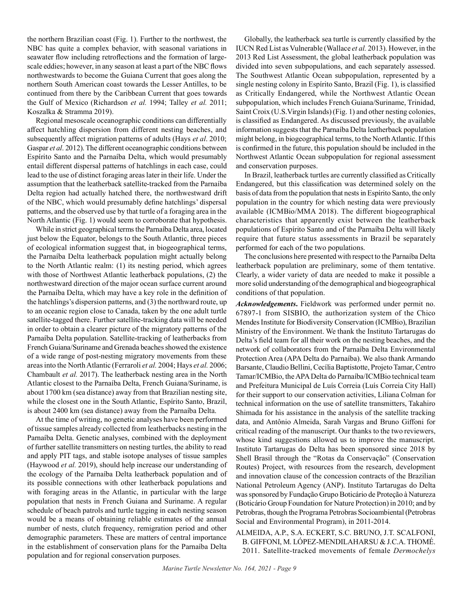the northern Brazilian coast (Fig. 1). Further to the northwest, the NBC has quite a complex behavior, with seasonal variations in seawater flow including retroflections and the formation of largescale eddies; however, in any season at least a part of the NBC flows northwestwards to become the Guiana Current that goes along the northern South American coast towards the Lesser Antilles, to be continued from there by the Caribbean Current that goes towards the Gulf of Mexico (Richardson et al. 1994; Talley et al. 2011; Koszalka & Stramma 2019).

Regional mesoscale oceanographic conditions can differentially affect hatchling dispersion from different nesting beaches, and subsequently affect migration patterns of adults (Hays et al. 2010; Gaspar et al. 2012). The different oceanographic conditions between Espírito Santo and the Parnaíba Delta, which would presumably entail different dispersal patterns of hatchlings in each case, could lead to the use of distinct foraging areas later in their life. Under the assumption that the leatherback satellite-tracked from the Parnaíba Delta region had actually hatched there, the northwestward drift of the NBC, which would presumably define hatchlings' dispersal patterns, and the observed use by that turtle of a foraging area in the North Atlantic (Fig. 1) would seem to corroborate that hypothesis.

While in strict geographical terms the Parnaíba Delta area, located just below the Equator, belongs to the South Atlantic, three pieces of ecological information suggest that, in biogeographical terms, the Parnaíba Delta leatherback population might actually belong to the North Atlantic realm: (1) its nesting period, which agrees with those of Northwest Atlantic leatherback populations, (2) the northwestward direction of the major ocean surface current around the Parnaíba Delta, which may have a key role in the definition of the hatchlings's dispersion patterns, and (3) the northward route, up to an oceanic region close to Canada, taken by the one adult turtle satellite-tagged there. Further satellite-tracking data will be needed in order to obtain a clearer picture of the migratory patterns of the Parnaíba Delta population. Satellite-tracking of leatherbacks from French Guiana/Suriname and Grenada beaches showed the existence of a wide range of post-nesting migratory movements from these areas into the North Atlantic (Ferraroli et al. 2004; Hays et al. 2006; Chambault et al. 2017). The leatherback nesting area in the North Atlantic closest to the Parnaíba Delta, French Guiana/Suriname, is about 1700 km (sea distance) away from that Brazilian nesting site, while the closest one in the South Atlantic, Espírito Santo, Brazil, is about 2400 km (sea distance) away from the Parnaíba Delta.

At the time of writing, no genetic analyses have been performed of tissue samples already collected from leatherbacks nesting in the Parnaíba Delta. Genetic analyses, combined with the deployment of further satellite transmitters on nesting turtles, the ability to read and apply PIT tags, and stable isotope analyses of tissue samples (Haywood et al. 2019), should help increase our understanding of the ecology of the Parnaíba Delta leatherback population and of its possible connections with other leatherback populations and with foraging areas in the Atlantic, in particular with the large population that nests in French Guiana and Suriname. A regular schedule of beach patrols and turtle tagging in each nesting season would be a means of obtaining reliable estimates of the annual number of nests, clutch frequency, remigration period and other demographic parameters. These are matters of central importance in the establishment of conservation plans for the Parnaíba Delta population and for regional conservation purposes.

Globally, the leatherback sea turtle is currently classified by the IUCN Red List as Vulnerable (Wallace et al. 2013). However, in the 2013 Red List Assessment, the global leatherback population was divided into seven subpopulations, and each separately assessed. The Southwest Atlantic Ocean subpopulation, represented by a single nesting colony in Espírito Santo, Brazil (Fig. 1), is classified as Critically Endangered, while the Northwest Atlantic Ocean subpopulation, which includes French Guiana/Suriname, Trinidad, Saint Croix (U.S.Virgin Islands) (Fig. 1) and other nesting colonies, is classified as Endangered. As discussed previously, the available information suggests that the Parnaíba Delta leatherback population might belong, in biogeographical terms, to the North Atlantic. If this is confirmed in the future, this population should be included in the Northwest Atlantic Ocean subpopulation for regional assessment and conservation purposes.

In Brazil, leatherback turtles are currently classified as Critically Endangered, but this classification was determined solely on the basis of data from the population that nests in Espírito Santo, the only population in the country for which nesting data were previously available (ICMBio/MMA 2018). The different biogeographical characteristics that apparently exist between the leatherback populations of Espírito Santo and of the Parnaíba Delta will likely require that future status assessments in Brazil be separately performed for each of the two populations.

The conclusions here presented with respect to the Parnaíba Delta leatherback population are preliminary, some of them tentative. Clearly, a wider variety of data are needed to make it possible a more solid understanding of the demographical and biogeographical conditions of that population.

Acknowledgements. Fieldwork was performed under permit no. 67897-1 from SISBIO, the authorization system of the Chico Mendes Institute for Biodiversity Conservation (ICMBio), Brazilian Ministry of the Environment. We thank the Instituto Tartarugas do Delta's field team for all their work on the nesting beaches, and the network of collaborators from the Parnaíba Delta Environmental Protection Area (APA Delta do Parnaíba). We also thank Armando Barsante, Claudio Bellini, Cecília Baptistotte, Projeto Tamar, Centro Tamar/ICMBio, the APA Delta do Parnaíba/ICMBio technical team and Prefeitura Municipal de Luís Correia (Luís Correia City Hall) for their support to our conservation activities, Liliana Colman for technical information on the use of satellite transmitters, Takahiro Shimada for his assistance in the analysis of the satellite tracking data, and Antônio Almeida, Sarah Vargas and Bruno Giffoni for critical reading of the manuscript. Our thanks to the two reviewers, whose kind suggestions allowed us to improve the manuscript. Instituto Tartarugas do Delta has been sponsored since 2018 by Shell Brasil through the "Rotas da Conservação" (Conservation Routes) Project, with resources from the research, development and innovation clause of the concession contracts of the Brazilian National Petroleum Agency (ANP). Instituto Tartarugas do Delta was sponsored by Fundação Grupo Boticário de Proteção à Natureza (Boticário Group Foundation for Nature Protection) in 2010; and by Petrobras, though the Programa Petrobras Socioambiental (Petrobras Social and Environmental Program), in 2011-2014.

## ALMEIDA, A.P., S.A. ECKERT, S.C. BRUNO, J.T. SCALFONI, B. GIFFONI, M. LÓPEZ-MENDILAHARSU & J.C.A. THOMÉ. 2011. Satellite-tracked movements of female Dermochelys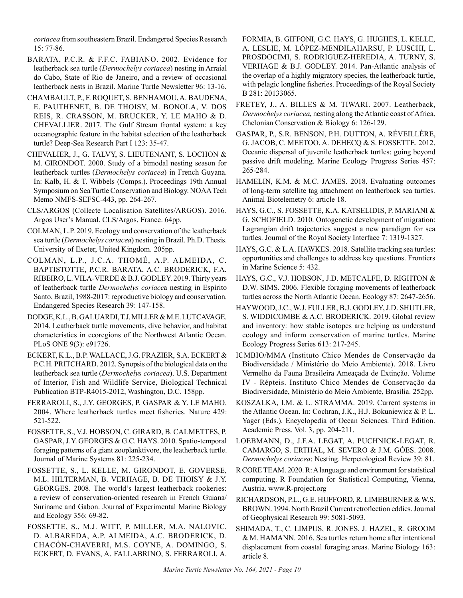coriacea from southeastern Brazil. Endangered Species Research 15: 77-86.

- BARATA, P.C.R. & F.F.C. FABIANO. 2002. Evidence for leatherback sea turtle (Dermochelys coriacea) nesting in Arraial do Cabo, State of Rio de Janeiro, and a review of occasional leatherback nests in Brazil. Marine Turtle Newsletter 96: 13-16.
- CHAMBAULT, P., F. ROQUET, S. BENHAMOU, A. BAUDENA, E. PAUTHENET, B. DE THOISY, M. BONOLA, V. DOS REIS, R. CRASSON, M. BRUCKER, Y. LE MAHO & D. CHEVALLIER. 2017. The Gulf Stream frontal system: a key oceanographic feature in the habitat selection of the leatherback turtle? Deep-Sea Research Part I 123: 35-47.
- CHEVALIER, J., G. TALVY, S. LIEUTENANT, S. LOCHON & M. GIRONDOT. 2000. Study of a bimodal nesting season for leatherback turtles (Dermochelys coriacea) in French Guyana. In: Kalb, H. & T. Wibbels (Comps.). Proceedings 19th Annual Symposium on Sea Turtle Conservation and Biology. NOAA Tech Memo NMFS-SEFSC-443, pp. 264-267.
- CLS/ARGOS (Collecte Localisation Satellites/ARGOS). 2016. Argos User's Manual. CLS/Argos, France. 64pp.
- COLMAN, L.P. 2019. Ecology and conservation of the leatherback sea turtle (Dermochelys coriacea) nesting in Brazil. Ph.D. Thesis. University of Exeter, United Kingdom. 205pp.
- COLMAN, L.P., J.C.A. THOMÉ, A.P. ALMEIDA, C. BAPTISTOTTE, P.C.R. BARATA, A.C. BRODERICK, F.A. RIBEIRO, L. VILA-VERDE & B.J. GODLEY. 2019. Thirty years of leatherback turtle Dermochelys coriacea nesting in Espírito Santo, Brazil, 1988-2017: reproductive biology and conservation. Endangered Species Research 39: 147-158. 2004. Here et al., 1909. Feology and conservation of the leatherback Lagragian diffit ligeteoties suggest a new paradigrement of the RNMS, G.C. & L.A. HAWKES. 2018. Stabilite tracking suggest and the RNMS (Soc. & L.A. HAWK
- DODGE, K.L., B. GALUARDI, T.J. MILLER & M.E. LUTCAVAGE. 2014. Leatherback turtle movements, dive behavior, and habitat characteristics in ecoregions of the Northwest Atlantic Ocean. PLoS ONE 9(3): e91726.
- ECKERT, K.L., B.P. WALLACE, J.G. FRAZIER, S.A. ECKERT & P.C.H. PRITCHARD. 2012. Synopsis of the biological data on the leatherback sea turtle (Dermochelys coriacea). U.S. Department of Interior, Fish and Wildlife Service, Biological Technical Publication BTP-R4015-2012, Washington, D.C. 158pp.
- FERRAROLI, S., J.Y. GEORGES, P. GASPAR & Y. LE MAHO. 521-522.
- FOSSETTE, S., V.J. HOBSON, C. GIRARD, B. CALMETTES, P. GASPAR, J.Y. GEORGES & G.C. HAYS. 2010. Spatio-temporal foraging patterns of a giant zooplanktivore, the leatherback turtle. Journal of Marine Systems 81: 225-234.
- FOSSETTE, S., L. KELLE, M. GIRONDOT, E. GOVERSE, M.L. HILTERMAN, B. VERHAGE, B. DE THOISY & J.Y. GEORGES. 2008. The world's largest leatherback rookeries: a review of conservation-oriented research in French Guiana/ Suriname and Gabon. Journal of Experimental Marine Biology and Ecology 356: 69-82.
- FOSSETTE, S., M.J. WITT, P. MILLER, M.A. NALOVIC, D. ALBAREDA, A.P. ALMEIDA, A.C. BRODERICK, D. CHACÓN-CHAVERRI, M.S. COYNE, A. DOMINGO, S. ECKERT, D. EVANS, A. FALLABRINO, S. FERRAROLI, A.

FORMIA, B. GIFFONI, G.C. HAYS, G. HUGHES, L. KELLE, A. LESLIE, M. LÓPEZ-MENDILAHARSU, P. LUSCHI, L. PROSDOCIMI, S. RODRIGUEZ-HEREDIA, A. TURNY, S. VERHAGE & B.J. GODLEY. 2014. Pan-Atlantic analysis of the overlap of a highly migratory species, the leatherback turtle, with pelagic longline fisheries. Proceedings of the Royal Society B 281: 20133065.

- FRETEY, J., A. BILLES & M. TIWARI. 2007. Leatherback, Dermochelys coriacea, nesting along the Atlantic coast of Africa. Chelonian Conservation & Biology 6: 126-129.
- GASPAR, P., S.R. BENSON, P.H. DUTTON, A. RÉVEILLÈRE, G. JACOB, C. MEETOO, A. DEHECQ & S. FOSSETTE. 2012. Oceanic dispersal of juvenile leatherback turtles: going beyond passive drift modeling. Marine Ecology Progress Series 457: 265-284.
- HAMELIN, K.M. & M.C. JAMES. 2018. Evaluating outcomes of long-term satellite tag attachment on leatherback sea turtles. Animal Biotelemetry 6: article 18.
- HAYS, G.C., S. FOSSETTE, K.A. KATSELIDIS, P. MARIANI & G. SCHOFIELD. 2010. Ontogenetic development of migration: Lagrangian drift trajectories suggest a new paradigm for sea turtles. Journal of the Royal Society Interface 7: 1319-1327.
- HAYS, G.C. & L.A. HAWKES. 2018. Satellite tracking sea turtles: opportunities and challenges to address key questions. Frontiers in Marine Science 5: 432.
- HAYS, G.C., V.J. HOBSON, J.D. METCALFE, D. RIGHTON & D.W. SIMS. 2006. Flexible foraging movements of leatherback turtles across the North Atlantic Ocean. Ecology 87: 2647-2656.
- HAYWOOD, J.C., W.J. FULLER, B.J. GODLEY, J.D. SHUTLER, S. WIDDICOMBE & A.C. BRODERICK. 2019. Global review and inventory: how stable isotopes are helping us understand ecology and inform conservation of marine turtles. Marine Ecology Progress Series 613: 217-245.
- ICMBIO/MMA (Instituto Chico Mendes de Conservação da Biodiversidade / Ministério do Meio Ambiente). 2018. Livro Vermelho da Fauna Brasileira Ameaçada de Extinção. Volume IV - Répteis. Instituto Chico Mendes de Conservação da Biodiversidade, Ministério do Meio Ambiente, Brasília. 252pp.
- KOSZALKA, I.M. & L. STRAMMA. 2019. Current systems in the Atlantic Ocean. In: Cochran, J.K., H.J. Bokuniewicz & P. L. Yager (Eds.). Encyclopedia of Ocean Sciences. Third Edition. Academic Press. Vol. 3, pp. 204-211.
- LOEBMANN, D., J.F.A. LEGAT, A. PUCHNICK-LEGAT, R. CAMARGO, S. ERTHAL, M. SEVERO & J.M. GÓES. 2008. Dermochelys coriacea: Nesting. Herpetological Review 39: 81.
- R CORE TEAM. 2020. R: A language and environment for statistical computing. R Foundation for Statistical Computing, Vienna, Austria. www.R-project.org
- RICHARDSON, P.L., G.E. HUFFORD, R. LIMEBURNER & W.S. BROWN. 1994. North Brazil Current retroflection eddies. Journal of Geophysical Research 99: 5081-5093.
- SHIMADA, T., C. LIMPUS, R. JONES, J. HAZEL, R. GROOM & M. HAMANN. 2016. Sea turtles return home after intentional displacement from coastal foraging areas. Marine Biology 163: article 8.